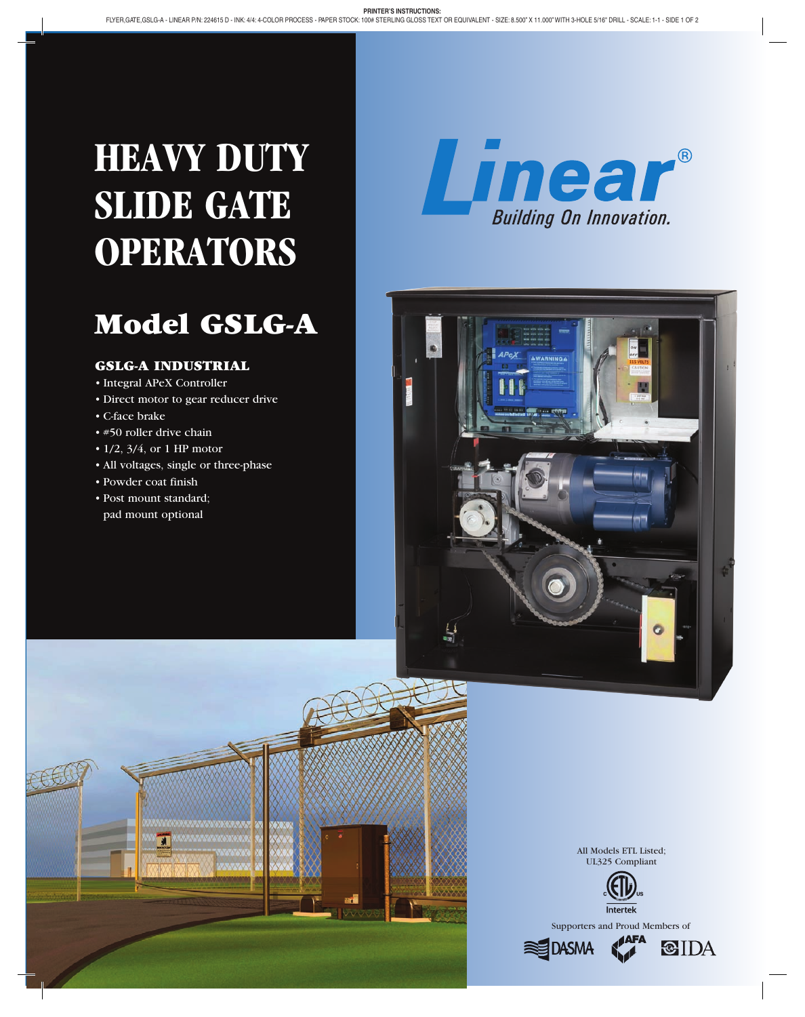# **HEAVY DUTY SLIDE GATE OPERATORS**

## Model GSLG-A

#### GSLG-A INDUSTRIAL

- Integral APeX Controller
- Direct motor to gear reducer drive
- • C-face brake
- • #50 roller drive chain
- $\cdot$  1/2, 3/4, or 1 HP motor
- All voltages, single or three-phase
- • Powder coat finish
- • Post mount standard; pad mount optional







All Models ETL Listed; UL325 Compliant





**CIDA**